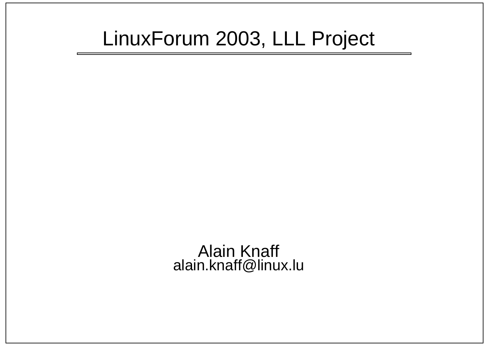#### LinuxForum 2003, LLL Project

Alain Knaff alain.knaff@linux.lu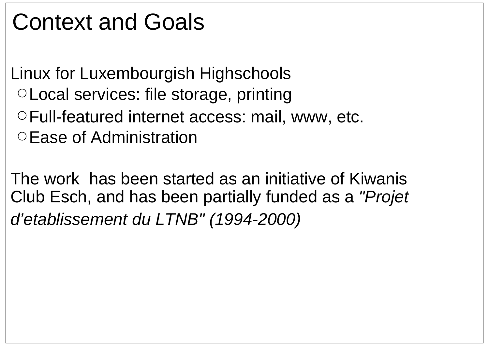# Context and Goals

Linux for Luxembourgish Highschools Local services: file storage, printing

- Full-featured internet access: mail, www, etc.
- Ease of Administration

The work has been started as an initiative of KiwanisClub Esch, and has been partially funded as a "Projet d'etablissement du LTNB" (1994-2000)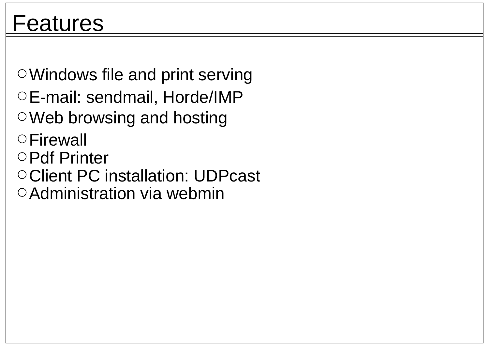Windows file and print serving E-mail: sendmail, Horde/IMP Web browsing and hosting **OFirewall** 

- Pdf Printer
- O Client PC installation: UDPcast
- O Administration via webmin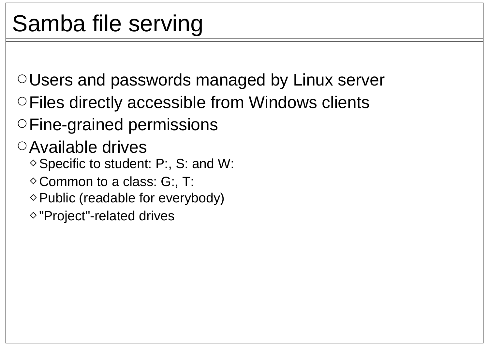Users and passwords managed by Linux server

- Files directly accessible from Windows clients
- Fine-grained permissions

Available drives

- $\diamond$  Specific to student: P:, S: and W:
- $\Diamond$  Common to a class: G:, T:
- $\diamond$  Public (readable for everybody)
- $\Diamond$  "Project"-related drives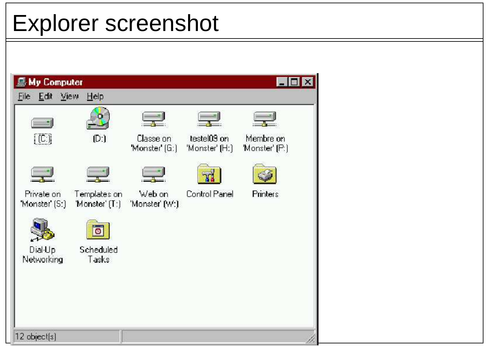### Explorer screenshot

| <b>鳥 My Computer</b>       |                                |                           |                               |                             | $\mathbf{x}$ |
|----------------------------|--------------------------------|---------------------------|-------------------------------|-----------------------------|--------------|
| File Edit<br>View          | He                             |                           |                               |                             |              |
|                            |                                |                           |                               |                             |              |
| $(C_i)$                    | (D)                            | Classe on<br>Monster [G:] | testel09 on<br>'Monster' [H:] | Membre on<br>'Monster' [P:] |              |
|                            |                                |                           |                               |                             |              |
| Private on<br>Monster (S.) | Templates on<br>'Monster' [T:] | Web on<br>'Monster' (W:)  | Control Panel                 | Printers                    |              |
|                            |                                |                           |                               |                             |              |
| Dial-Up<br>Networking      | Scheduled<br>Tasks             |                           |                               |                             |              |
|                            |                                |                           |                               |                             |              |
|                            |                                |                           |                               |                             |              |
| 12 object[s]               |                                |                           |                               |                             |              |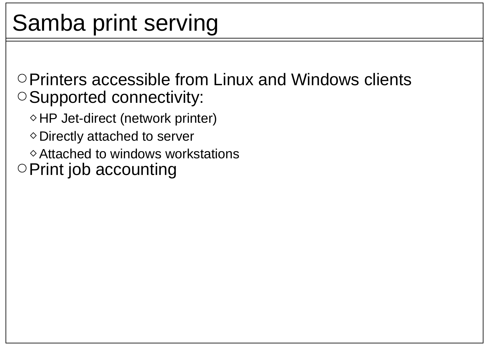# Samba print serving

O Printers accessible from Linux and Windows clients O Supported connectivity:

 $\diamond$  HP Jet-direct (network printer)

 $\diamond$  Directly attached to server

 $\diamond$  Attached to windows workstations

 $\circ$  Print job accounting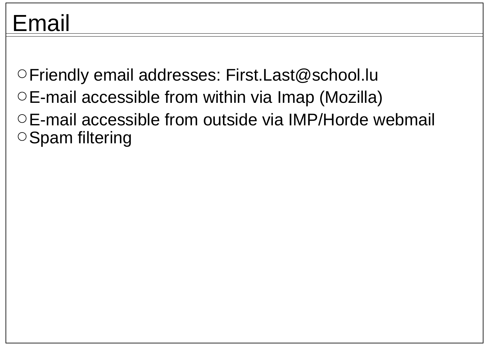### Email

Friendly email addresses: First.Last@school.lu  $\circ$  E-mail accessible from within via Imap (Mozilla) E-mail accessible from outside via IMP/Horde webmail  $\circ$ Spam filtering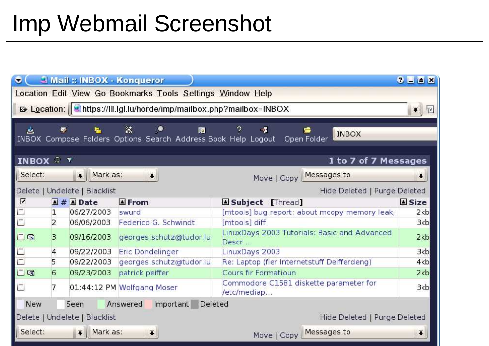### Imp Webmail Screenshot

| $\bullet$                                                     |                                                                                                                                           | <b>3 Mail :: INBOX - Konqueror</b> |                                                               |                                                              | $2$ $\equiv$ $\equiv$ $\times$ |  |  |  |
|---------------------------------------------------------------|-------------------------------------------------------------------------------------------------------------------------------------------|------------------------------------|---------------------------------------------------------------|--------------------------------------------------------------|--------------------------------|--|--|--|
|                                                               |                                                                                                                                           |                                    | Location Edit View Go Bookmarks Tools Settings Window Help    |                                                              |                                |  |  |  |
|                                                               | <b>B</b> Location: <b>Mediates://lli.lgl.lu/horde/imp/mailbox.php?mailbox=INBOX</b><br>$\overline{\bullet}$ $\parallel$<br>$\mathbb{T}^d$ |                                    |                                                               |                                                              |                                |  |  |  |
|                                                               |                                                                                                                                           |                                    |                                                               |                                                              |                                |  |  |  |
| 스                                                             | $\bullet$                                                                                                                                 | 怪                                  | 25<br>⋟<br>镾                                                  | 2.<br>-8<br><b>INBOX</b>                                     |                                |  |  |  |
|                                                               |                                                                                                                                           |                                    | INBOX Compose Folders Options Search Address Book Help Logout | Open Folder                                                  |                                |  |  |  |
| <b>INBOX + Y</b><br>1 to 7 of 7 Messages                      |                                                                                                                                           |                                    |                                                               |                                                              |                                |  |  |  |
| Select:                                                       |                                                                                                                                           | $\overline{\bullet}$    Mark as:   | $\ddot{•}$                                                    | Move   Copy   Messages to                                    | $\ddot{\bullet}$               |  |  |  |
|                                                               |                                                                                                                                           | Delete   Undelete   Blacklist      |                                                               | Hide Deleted   Purge Deleted                                 |                                |  |  |  |
| ⊽                                                             |                                                                                                                                           | $4#$ Date                          | A From                                                        | Subject [Thread]                                             | <b>A</b> Size                  |  |  |  |
| L,                                                            | $\mathbf{1}$                                                                                                                              | 06/27/2003                         | swurd                                                         | [mtools] bug report: about mcopy memory leak,                | 2kb                            |  |  |  |
| $\Box$                                                        | $\overline{2}$                                                                                                                            | 06/06/2003                         | Federico G. Schwindt                                          | [mtools] diff                                                | 3kb                            |  |  |  |
| 口咽                                                            | 3                                                                                                                                         | 09/16/2003                         | georges.schutz@tudor.lu                                       | LinuxDays 2003 Tutorials: Basic and Advanced<br>2kb<br>Descr |                                |  |  |  |
|                                                               | $\overline{4}$                                                                                                                            | 09/22/2003                         | Eric Dondelinger                                              | LinuxDays 2003                                               | 3kb                            |  |  |  |
|                                                               | 5                                                                                                                                         | 09/22/2003                         | georges.schutz@tudor.lu                                       | Re: Laptop (fier Internetstuff Deifferdeng)                  |                                |  |  |  |
| 口咽                                                            | 6                                                                                                                                         | 09/23/2003                         | patrick peiffer                                               | Cours fir Formatioun                                         |                                |  |  |  |
| 囗                                                             |                                                                                                                                           |                                    | 01:44:12 PM Wolfgang Moser                                    | Commodore C1581 diskette parameter for<br>3kb<br>/etc/mediap |                                |  |  |  |
| <b>New</b>                                                    |                                                                                                                                           | Seen                               | Answered<br>Important Deleted                                 |                                                              |                                |  |  |  |
| Delete   Undelete   Blacklist<br>Hide Deleted   Purge Deleted |                                                                                                                                           |                                    |                                                               |                                                              |                                |  |  |  |
| Select:                                                       |                                                                                                                                           | $\overline{\bullet}$ Mark as:      | $\left  \bar{\bullet} \right $                                | Messages to<br>Move   Copy                                   | $\overline{\bullet}$           |  |  |  |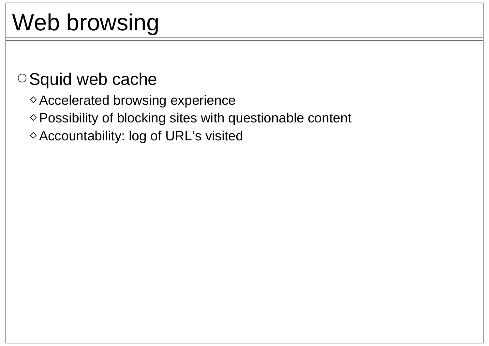# Web browsing

#### O Squid web cache

- Accelerated browsing experience
- $\diamond$  Possibility of blocking sites with questionable content
- Accountability: log of URL's visited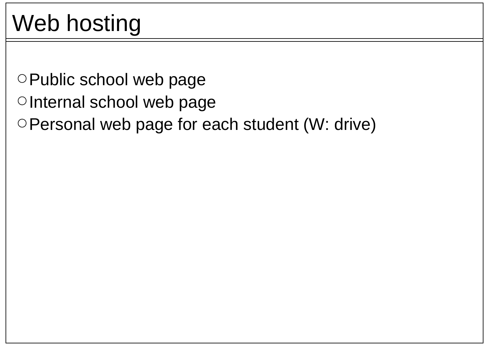# Web hosting

- O Public school web page
- OInternal school web page
- Personal web page for each student (W: drive)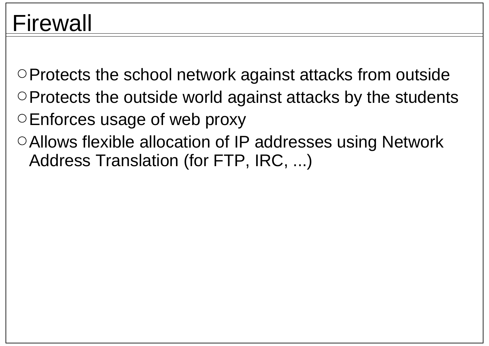#### Firewall

Protects the school network against attacks from outside  $\circ$  Protects the outside world against attacks by the students  $\circ$  Enforces usage of web proxy

Allows flexible allocation of IP addresses using Network Address Translation (for FTP, IRC, ...)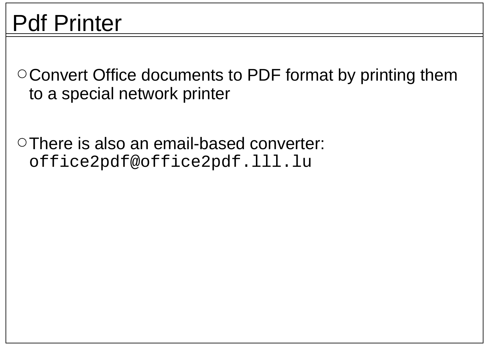### Pdf Printer

Convert Office documents to PDF format by printing them to a special network printer

There is also an email-based converter: office2pdf@office2pdf.lll.lu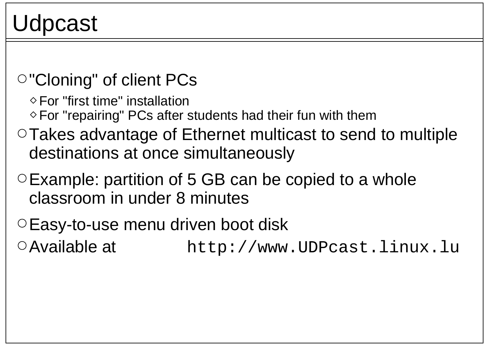#### Udpcast

#### "Cloning" of client PCs

 $\Diamond$  For "first time" installation

 $\Diamond$  For "repairing" PCs after students had their fun with them

- Takes advantage of Ethernet multicast to send to multiple destinations at once simultaneously
- $\circ$  Example: partition of 5 GB can be copied to a whole classroom in under 8 minutes
- Easy-to-use menu driven boot disk
- Available at http://www.UDPcast.linux.lu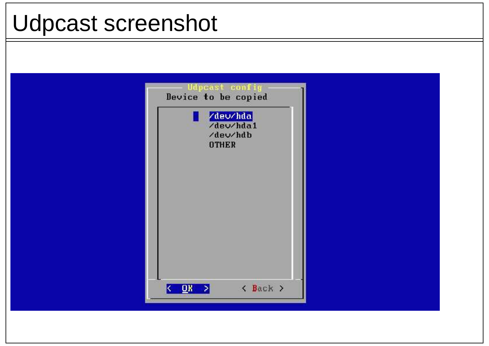#### Udpcast screenshot

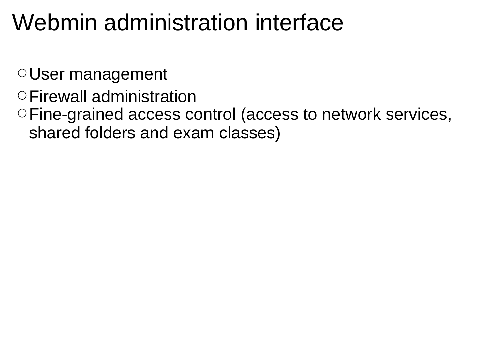#### Webmin administration interface

User management

- Firewall administration
- Fine-grained access control (access to network services, shared folders and exam classes)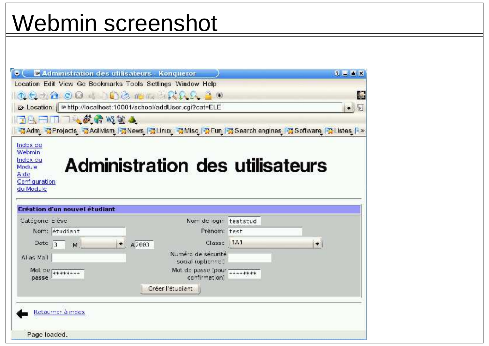#### Webmin screenshot

| $\bullet$ ( $\blacksquare$ Administration des utilisateurs - Konqueror                                 |                                              | 2 L L X |
|--------------------------------------------------------------------------------------------------------|----------------------------------------------|---------|
| Location Edit View Go Bookmarks Tools Settings Window Help                                             |                                              |         |
| 0000004 00000000000                                                                                    |                                              |         |
| D Location:   whttp://localhost:10001/school/addUser.cgi?cat=ELE                                       |                                              | h.      |
| 日日日日日本教育吸管人                                                                                            |                                              |         |
| 공Adm_ 공Projects_ 공Activism_ 공News   공Linux_ 공Misc_ 공 Fun   공 Search engines   공 Software   공Listes   * |                                              |         |
|                                                                                                        |                                              |         |
| Index de<br>Webmin                                                                                     |                                              |         |
| Index ou                                                                                               |                                              |         |
| Module.                                                                                                | Administration des utilisateurs              |         |
| A de<br>Configuration                                                                                  |                                              |         |
| du Module                                                                                              |                                              |         |
|                                                                                                        |                                              |         |
| <b>Création d'un nouvel étudiant</b>                                                                   |                                              |         |
| Catégorie E ève                                                                                        | Norm de login teststud                       |         |
| Norm: etudiant                                                                                         | Prénom: test                                 |         |
| Date $3$ M                                                                                             | Classe 1A1<br>A2003                          | $\sim$  |
|                                                                                                        | Numéro de sécurité                           |         |
| Allas Mail                                                                                             | social (optionnel)                           |         |
| Mol De stitisse<br>passe                                                                               | Mot de passe (pour announce<br>confirmation) |         |
|                                                                                                        | Créer l'étudiant                             |         |
|                                                                                                        |                                              |         |
|                                                                                                        |                                              |         |
| Retourner à moex                                                                                       |                                              |         |
|                                                                                                        |                                              |         |
|                                                                                                        |                                              |         |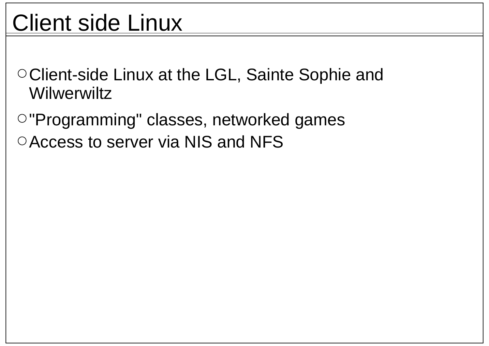## Client side Linux

Client-side Linux at the LGL, Sainte Sophie and **Wilwerwiltz** 

"Programming" classes, networked games O Access to server via NIS and NFS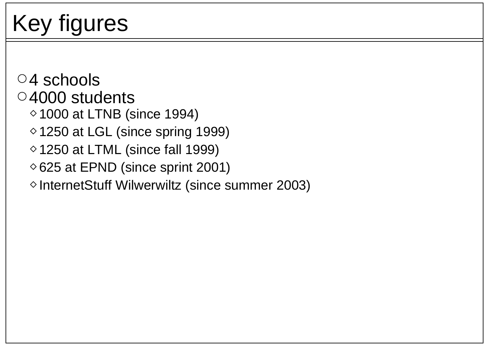# Key figures

 $\circ$ 4 schools 4000 students  $\degree$  1000 at LTNB (since 1994)  $\Diamond$  1250 at LGL (since spring 1999)  $\Diamond$  1250 at LTML (since fall 1999)  $\Diamond$  625 at EPND (since sprint 2001) ◇ InternetStuff Wilwerwiltz (since summer 2003)